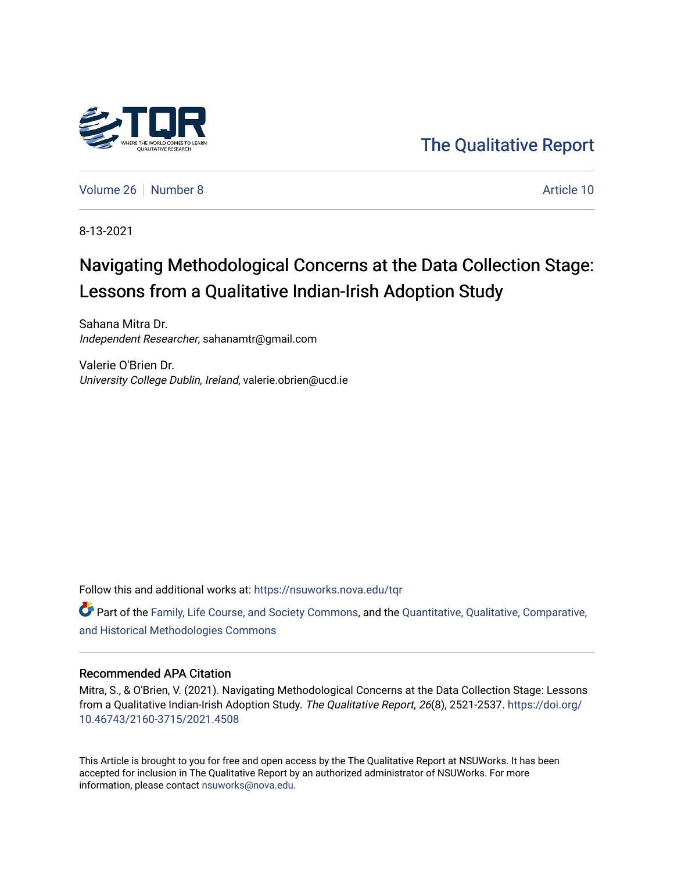

[The Qualitative Report](https://nsuworks.nova.edu/tqr) 

[Volume 26](https://nsuworks.nova.edu/tqr/vol26) [Number 8](https://nsuworks.nova.edu/tqr/vol26/iss8) Article 10

8-13-2021

# Navigating Methodological Concerns at the Data Collection Stage: Lessons from a Qualitative Indian-Irish Adoption Study

Sahana Mitra Dr. Independent Researcher, sahanamtr@gmail.com

Valerie O'Brien Dr. University College Dublin, Ireland, valerie.obrien@ucd.ie

Follow this and additional works at: [https://nsuworks.nova.edu/tqr](https://nsuworks.nova.edu/tqr?utm_source=nsuworks.nova.edu%2Ftqr%2Fvol26%2Fiss8%2F10&utm_medium=PDF&utm_campaign=PDFCoverPages) 

Part of the [Family, Life Course, and Society Commons,](http://network.bepress.com/hgg/discipline/419?utm_source=nsuworks.nova.edu%2Ftqr%2Fvol26%2Fiss8%2F10&utm_medium=PDF&utm_campaign=PDFCoverPages) and the [Quantitative, Qualitative, Comparative,](http://network.bepress.com/hgg/discipline/423?utm_source=nsuworks.nova.edu%2Ftqr%2Fvol26%2Fiss8%2F10&utm_medium=PDF&utm_campaign=PDFCoverPages) [and Historical Methodologies Commons](http://network.bepress.com/hgg/discipline/423?utm_source=nsuworks.nova.edu%2Ftqr%2Fvol26%2Fiss8%2F10&utm_medium=PDF&utm_campaign=PDFCoverPages)

## Recommended APA Citation

Mitra, S., & O'Brien, V. (2021). Navigating Methodological Concerns at the Data Collection Stage: Lessons from a Qualitative Indian-Irish Adoption Study. The Qualitative Report, 26(8), 2521-2537. [https://doi.org/](https://doi.org/10.46743/2160-3715/2021.4508) [10.46743/2160-3715/2021.4508](https://doi.org/10.46743/2160-3715/2021.4508)

This Article is brought to you for free and open access by the The Qualitative Report at NSUWorks. It has been accepted for inclusion in The Qualitative Report by an authorized administrator of NSUWorks. For more information, please contact [nsuworks@nova.edu.](mailto:nsuworks@nova.edu)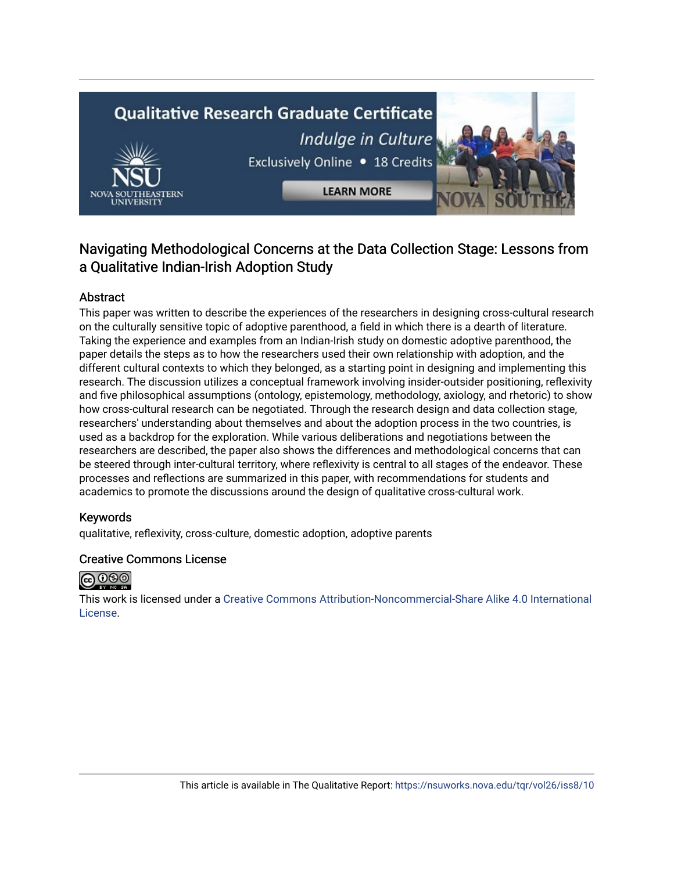# **Qualitative Research Graduate Certificate** Indulge in Culture Exclusively Online . 18 Credits



**LEARN MORE** 

# Navigating Methodological Concerns at the Data Collection Stage: Lessons from a Qualitative Indian-Irish Adoption Study

# Abstract

This paper was written to describe the experiences of the researchers in designing cross-cultural research on the culturally sensitive topic of adoptive parenthood, a field in which there is a dearth of literature. Taking the experience and examples from an Indian-Irish study on domestic adoptive parenthood, the paper details the steps as to how the researchers used their own relationship with adoption, and the different cultural contexts to which they belonged, as a starting point in designing and implementing this research. The discussion utilizes a conceptual framework involving insider-outsider positioning, reflexivity and five philosophical assumptions (ontology, epistemology, methodology, axiology, and rhetoric) to show how cross-cultural research can be negotiated. Through the research design and data collection stage, researchers' understanding about themselves and about the adoption process in the two countries, is used as a backdrop for the exploration. While various deliberations and negotiations between the researchers are described, the paper also shows the differences and methodological concerns that can be steered through inter-cultural territory, where reflexivity is central to all stages of the endeavor. These processes and reflections are summarized in this paper, with recommendations for students and academics to promote the discussions around the design of qualitative cross-cultural work.

# Keywords

qualitative, reflexivity, cross-culture, domestic adoption, adoptive parents

# Creative Commons License



This work is licensed under a [Creative Commons Attribution-Noncommercial-Share Alike 4.0 International](https://creativecommons.org/licenses/by-nc-sa/4.0/)  [License](https://creativecommons.org/licenses/by-nc-sa/4.0/).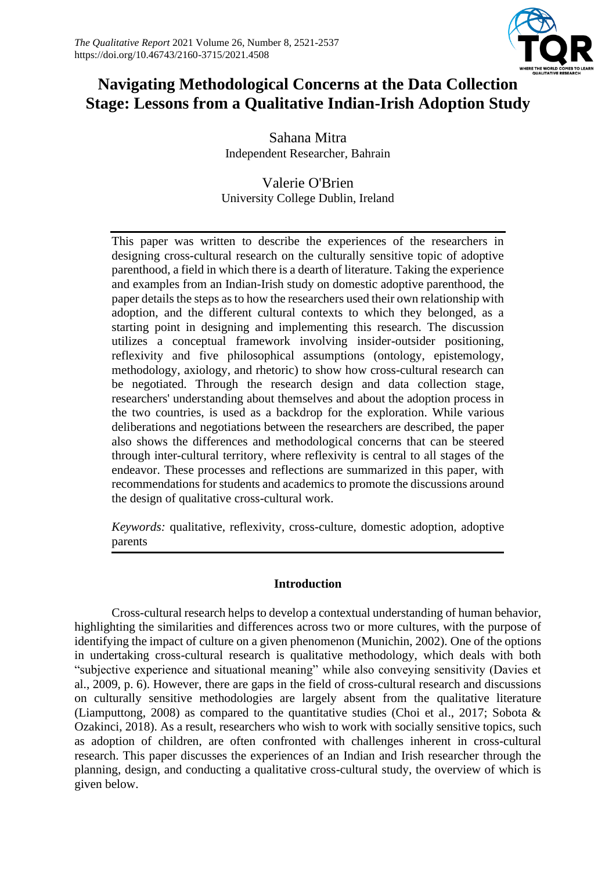

# **Navigating Methodological Concerns at the Data Collection Stage: Lessons from a Qualitative Indian-Irish Adoption Study**

Sahana Mitra Independent Researcher*,* Bahrain

Valerie O'Brien University College Dublin, Ireland

This paper was written to describe the experiences of the researchers in designing cross-cultural research on the culturally sensitive topic of adoptive parenthood, a field in which there is a dearth of literature. Taking the experience and examples from an Indian-Irish study on domestic adoptive parenthood, the paper details the steps as to how the researchers used their own relationship with adoption, and the different cultural contexts to which they belonged, as a starting point in designing and implementing this research. The discussion utilizes a conceptual framework involving insider-outsider positioning, reflexivity and five philosophical assumptions (ontology, epistemology, methodology, axiology, and rhetoric) to show how cross-cultural research can be negotiated. Through the research design and data collection stage, researchers' understanding about themselves and about the adoption process in the two countries, is used as a backdrop for the exploration. While various deliberations and negotiations between the researchers are described, the paper also shows the differences and methodological concerns that can be steered through inter-cultural territory, where reflexivity is central to all stages of the endeavor. These processes and reflections are summarized in this paper, with recommendations for students and academics to promote the discussions around the design of qualitative cross-cultural work.

*Keywords:* qualitative, reflexivity, cross-culture, domestic adoption, adoptive parents

# **Introduction**

Cross-cultural research helps to develop a contextual understanding of human behavior, highlighting the similarities and differences across two or more cultures, with the purpose of identifying the impact of culture on a given phenomenon (Munichin, 2002). One of the options in undertaking cross-cultural research is qualitative methodology, which deals with both "subjective experience and situational meaning" while also conveying sensitivity (Davies et al., 2009, p. 6). However, there are gaps in the field of cross-cultural research and discussions on culturally sensitive methodologies are largely absent from the qualitative literature (Liamputtong, 2008) as compared to the quantitative studies (Choi et al., 2017; Sobota & Ozakinci, 2018). As a result, researchers who wish to work with socially sensitive topics, such as adoption of children, are often confronted with challenges inherent in cross-cultural research. This paper discusses the experiences of an Indian and Irish researcher through the planning, design, and conducting a qualitative cross-cultural study, the overview of which is given below.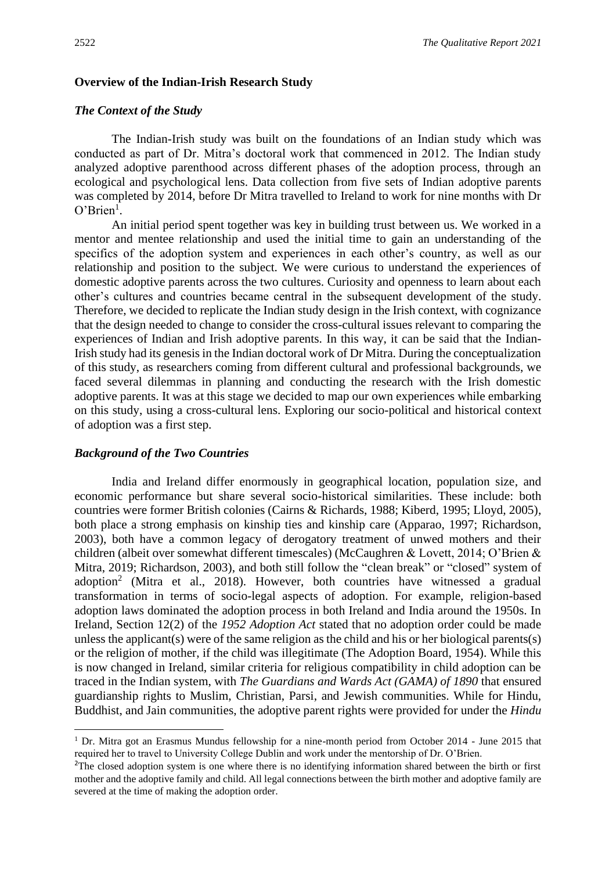#### **Overview of the Indian-Irish Research Study**

## *The Context of the Study*

The Indian-Irish study was built on the foundations of an Indian study which was conducted as part of Dr. Mitra's doctoral work that commenced in 2012. The Indian study analyzed adoptive parenthood across different phases of the adoption process, through an ecological and psychological lens. Data collection from five sets of Indian adoptive parents was completed by 2014, before Dr Mitra travelled to Ireland to work for nine months with Dr  $O<sup>3</sup>$ Brien<sup>1</sup>.

An initial period spent together was key in building trust between us. We worked in a mentor and mentee relationship and used the initial time to gain an understanding of the specifics of the adoption system and experiences in each other's country, as well as our relationship and position to the subject. We were curious to understand the experiences of domestic adoptive parents across the two cultures. Curiosity and openness to learn about each other's cultures and countries became central in the subsequent development of the study. Therefore, we decided to replicate the Indian study design in the Irish context, with cognizance that the design needed to change to consider the cross-cultural issues relevant to comparing the experiences of Indian and Irish adoptive parents. In this way, it can be said that the Indian-Irish study had its genesis in the Indian doctoral work of Dr Mitra. During the conceptualization of this study, as researchers coming from different cultural and professional backgrounds, we faced several dilemmas in planning and conducting the research with the Irish domestic adoptive parents. It was at this stage we decided to map our own experiences while embarking on this study, using a cross-cultural lens. Exploring our socio-political and historical context of adoption was a first step.

### *Background of the Two Countries*

India and Ireland differ enormously in geographical location, population size, and economic performance but share several socio-historical similarities. These include: both countries were former British colonies (Cairns & Richards, 1988; Kiberd, 1995; Lloyd, 2005), both place a strong emphasis on kinship ties and kinship care (Apparao, 1997; Richardson, 2003), both have a common legacy of derogatory treatment of unwed mothers and their children (albeit over somewhat different timescales) (McCaughren & Lovett, 2014; O'Brien & Mitra, 2019; Richardson, 2003), and both still follow the "clean break" or "closed" system of adoption<sup>2</sup> (Mitra et al., 2018). However, both countries have witnessed a gradual transformation in terms of socio-legal aspects of adoption. For example, religion-based adoption laws dominated the adoption process in both Ireland and India around the 1950s. In Ireland, Section 12(2) of the *1952 Adoption Act* stated that no adoption order could be made unless the applicant(s) were of the same religion as the child and his or her biological parents(s) or the religion of mother, if the child was illegitimate (The Adoption Board, 1954). While this is now changed in Ireland, similar criteria for religious compatibility in child adoption can be traced in the Indian system, with *The Guardians and Wards Act (GAMA) of 1890* that ensured guardianship rights to Muslim, Christian, Parsi, and Jewish communities. While for Hindu, Buddhist, and Jain communities, the adoptive parent rights were provided for under the *Hindu* 

<sup>&</sup>lt;sup>1</sup> Dr. Mitra got an Erasmus Mundus fellowship for a nine-month period from October 2014 - June 2015 that required her to travel to University College Dublin and work under the mentorship of Dr. O'Brien.

<sup>&</sup>lt;sup>2</sup>The closed adoption system is one where there is no identifying information shared between the birth or first mother and the adoptive family and child. All legal connections between the birth mother and adoptive family are severed at the time of making the adoption order.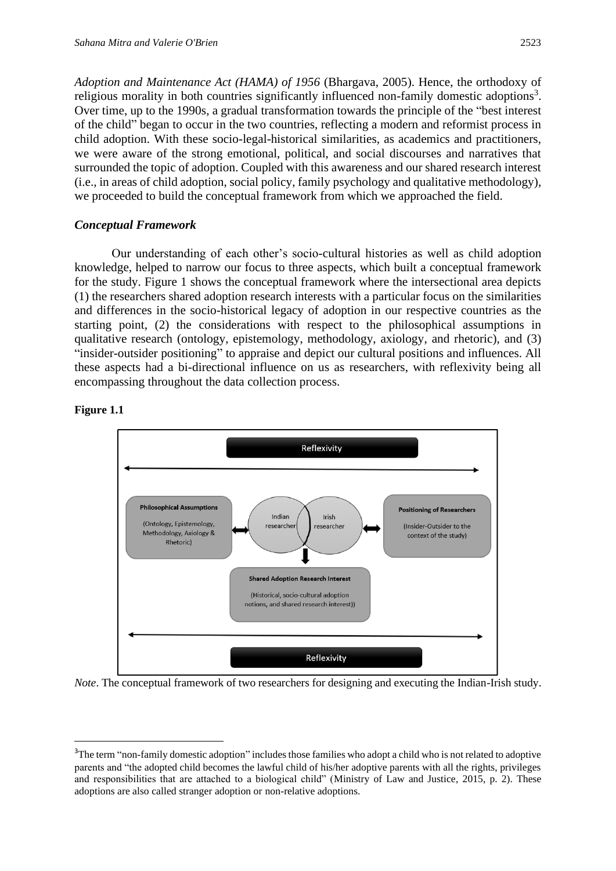*Adoption and Maintenance Act (HAMA) of 1956* (Bhargava, 2005). Hence, the orthodoxy of religious morality in both countries significantly influenced non-family domestic adoptions<sup>3</sup>. Over time, up to the 1990s, a gradual transformation towards the principle of the "best interest of the child" began to occur in the two countries, reflecting a modern and reformist process in child adoption. With these socio-legal-historical similarities, as academics and practitioners, we were aware of the strong emotional, political, and social discourses and narratives that surrounded the topic of adoption. Coupled with this awareness and our shared research interest (i.e., in areas of child adoption, social policy, family psychology and qualitative methodology), we proceeded to build the conceptual framework from which we approached the field.

# *Conceptual Framework*

Our understanding of each other's socio-cultural histories as well as child adoption knowledge, helped to narrow our focus to three aspects, which built a conceptual framework for the study. Figure 1 shows the conceptual framework where the intersectional area depicts (1) the researchers shared adoption research interests with a particular focus on the similarities and differences in the socio-historical legacy of adoption in our respective countries as the starting point, (2) the considerations with respect to the philosophical assumptions in qualitative research (ontology, epistemology, methodology, axiology, and rhetoric), and (3) "insider-outsider positioning" to appraise and depict our cultural positions and influences. All these aspects had a bi-directional influence on us as researchers, with reflexivity being all encompassing throughout the data collection process.



# **Figure 1.1**

*Note*. The conceptual framework of two researchers for designing and executing the Indian-Irish study.

<sup>&</sup>lt;sup>3</sup>The term "non-family domestic adoption" includes those families who adopt a child who is not related to adoptive parents and "the adopted child becomes the lawful child of his/her adoptive parents with all the rights, privileges and responsibilities that are attached to a biological child" (Ministry of Law and Justice, 2015, p. 2). These adoptions are also called stranger adoption or non-relative adoptions.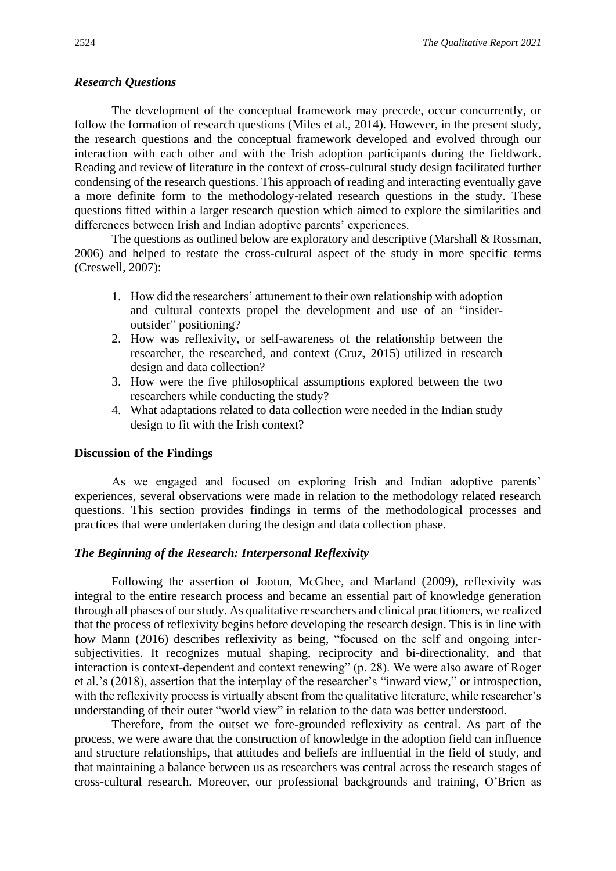## *Research Questions*

The development of the conceptual framework may precede, occur concurrently, or follow the formation of research questions (Miles et al., 2014). However, in the present study, the research questions and the conceptual framework developed and evolved through our interaction with each other and with the Irish adoption participants during the fieldwork. Reading and review of literature in the context of cross-cultural study design facilitated further condensing of the research questions. This approach of reading and interacting eventually gave a more definite form to the methodology-related research questions in the study. These questions fitted within a larger research question which aimed to explore the similarities and differences between Irish and Indian adoptive parents' experiences.

The questions as outlined below are exploratory and descriptive (Marshall & Rossman, 2006) and helped to restate the cross-cultural aspect of the study in more specific terms (Creswell, 2007):

- 1. How did the researchers' attunement to their own relationship with adoption and cultural contexts propel the development and use of an "insideroutsider" positioning?
- 2. How was reflexivity, or self-awareness of the relationship between the researcher, the researched, and context (Cruz, 2015) utilized in research design and data collection?
- 3. How were the five philosophical assumptions explored between the two researchers while conducting the study?
- 4. What adaptations related to data collection were needed in the Indian study design to fit with the Irish context?

#### **Discussion of the Findings**

As we engaged and focused on exploring Irish and Indian adoptive parents' experiences, several observations were made in relation to the methodology related research questions. This section provides findings in terms of the methodological processes and practices that were undertaken during the design and data collection phase.

#### *The Beginning of the Research: Interpersonal Reflexivity*

Following the assertion of Jootun, McGhee, and Marland (2009), reflexivity was integral to the entire research process and became an essential part of knowledge generation through all phases of our study. As qualitative researchers and clinical practitioners, we realized that the process of reflexivity begins before developing the research design. This is in line with how Mann (2016) describes reflexivity as being, "focused on the self and ongoing intersubjectivities. It recognizes mutual shaping, reciprocity and bi-directionality, and that interaction is context-dependent and context renewing" (p. 28). We were also aware of Roger et al.'s (2018), assertion that the interplay of the researcher's "inward view," or introspection, with the reflexivity process is virtually absent from the qualitative literature, while researcher's understanding of their outer "world view" in relation to the data was better understood.

Therefore, from the outset we fore-grounded reflexivity as central. As part of the process, we were aware that the construction of knowledge in the adoption field can influence and structure relationships, that attitudes and beliefs are influential in the field of study, and that maintaining a balance between us as researchers was central across the research stages of cross-cultural research. Moreover, our professional backgrounds and training, O'Brien as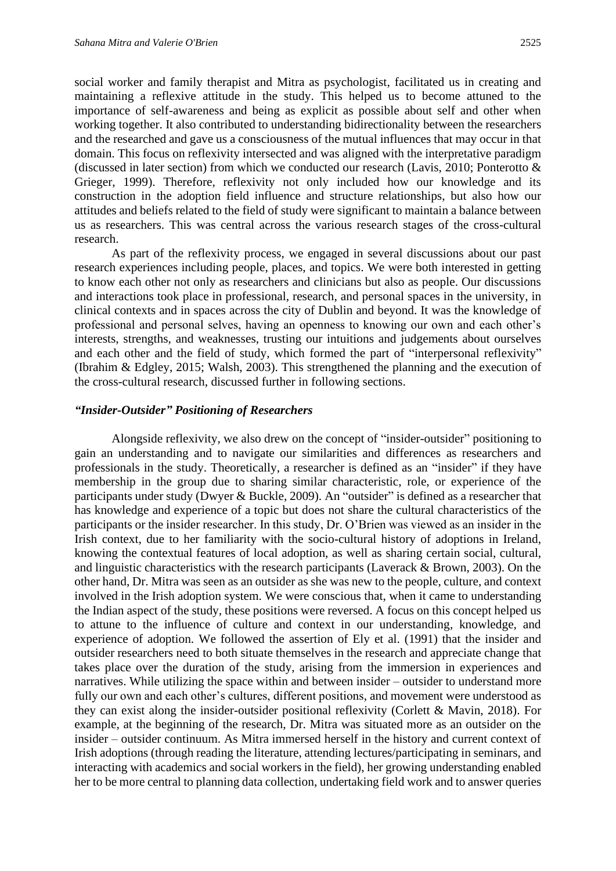social worker and family therapist and Mitra as psychologist, facilitated us in creating and maintaining a reflexive attitude in the study. This helped us to become attuned to the importance of self-awareness and being as explicit as possible about self and other when working together. It also contributed to understanding bidirectionality between the researchers and the researched and gave us a consciousness of the mutual influences that may occur in that domain. This focus on reflexivity intersected and was aligned with the interpretative paradigm (discussed in later section) from which we conducted our research (Lavis, 2010; Ponterotto & Grieger, 1999). Therefore, reflexivity not only included how our knowledge and its construction in the adoption field influence and structure relationships, but also how our attitudes and beliefs related to the field of study were significant to maintain a balance between us as researchers. This was central across the various research stages of the cross-cultural research.

As part of the reflexivity process, we engaged in several discussions about our past research experiences including people, places, and topics. We were both interested in getting to know each other not only as researchers and clinicians but also as people. Our discussions and interactions took place in professional, research, and personal spaces in the university, in clinical contexts and in spaces across the city of Dublin and beyond. It was the knowledge of professional and personal selves, having an openness to knowing our own and each other's interests, strengths, and weaknesses, trusting our intuitions and judgements about ourselves and each other and the field of study, which formed the part of "interpersonal reflexivity" (Ibrahim & Edgley, 2015; Walsh, 2003). This strengthened the planning and the execution of the cross-cultural research, discussed further in following sections.

#### *"Insider-Outsider" Positioning of Researchers*

Alongside reflexivity, we also drew on the concept of "insider-outsider" positioning to gain an understanding and to navigate our similarities and differences as researchers and professionals in the study. Theoretically, a researcher is defined as an "insider" if they have membership in the group due to sharing similar characteristic, role, or experience of the participants under study (Dwyer & Buckle, 2009). An "outsider" is defined as a researcher that has knowledge and experience of a topic but does not share the cultural characteristics of the participants or the insider researcher. In this study, Dr. O'Brien was viewed as an insider in the Irish context, due to her familiarity with the socio-cultural history of adoptions in Ireland, knowing the contextual features of local adoption, as well as sharing certain social, cultural, and linguistic characteristics with the research participants (Laverack & Brown, 2003). On the other hand, Dr. Mitra was seen as an outsider as she was new to the people, culture, and context involved in the Irish adoption system. We were conscious that, when it came to understanding the Indian aspect of the study, these positions were reversed. A focus on this concept helped us to attune to the influence of culture and context in our understanding, knowledge, and experience of adoption. We followed the assertion of Ely et al. (1991) that the insider and outsider researchers need to both situate themselves in the research and appreciate change that takes place over the duration of the study, arising from the immersion in experiences and narratives. While utilizing the space within and between insider – outsider to understand more fully our own and each other's cultures, different positions, and movement were understood as they can exist along the insider-outsider positional reflexivity (Corlett & Mavin, 2018). For example, at the beginning of the research, Dr. Mitra was situated more as an outsider on the insider – outsider continuum. As Mitra immersed herself in the history and current context of Irish adoptions (through reading the literature, attending lectures/participating in seminars, and interacting with academics and social workers in the field), her growing understanding enabled her to be more central to planning data collection, undertaking field work and to answer queries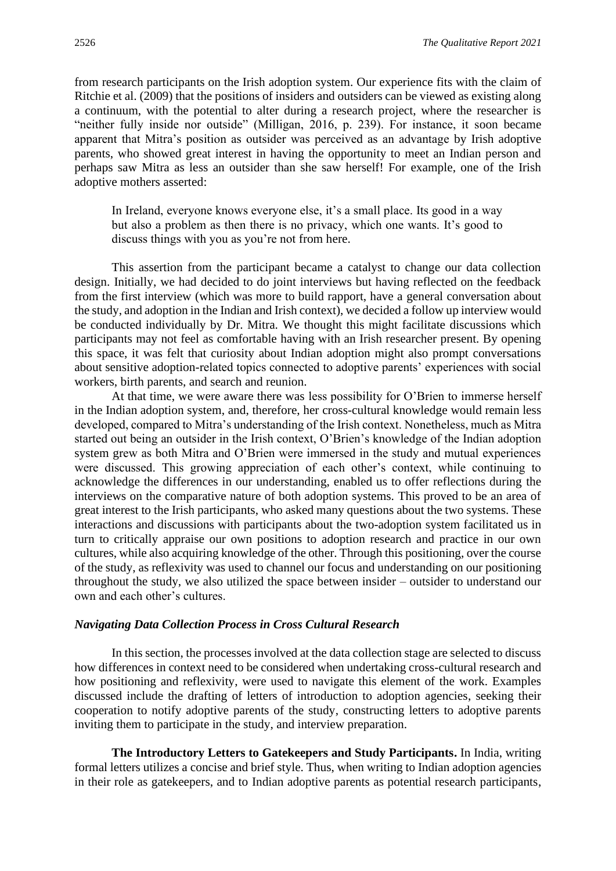from research participants on the Irish adoption system. Our experience fits with the claim of Ritchie et al. (2009) that the positions of insiders and outsiders can be viewed as existing along a continuum, with the potential to alter during a research project, where the researcher is "neither fully inside nor outside" (Milligan, 2016, p. 239). For instance, it soon became apparent that Mitra's position as outsider was perceived as an advantage by Irish adoptive parents, who showed great interest in having the opportunity to meet an Indian person and perhaps saw Mitra as less an outsider than she saw herself! For example, one of the Irish adoptive mothers asserted:

In Ireland, everyone knows everyone else, it's a small place. Its good in a way but also a problem as then there is no privacy, which one wants. It's good to discuss things with you as you're not from here.

This assertion from the participant became a catalyst to change our data collection design. Initially, we had decided to do joint interviews but having reflected on the feedback from the first interview (which was more to build rapport, have a general conversation about the study, and adoption in the Indian and Irish context), we decided a follow up interview would be conducted individually by Dr. Mitra. We thought this might facilitate discussions which participants may not feel as comfortable having with an Irish researcher present. By opening this space, it was felt that curiosity about Indian adoption might also prompt conversations about sensitive adoption-related topics connected to adoptive parents' experiences with social workers, birth parents, and search and reunion.

At that time, we were aware there was less possibility for O'Brien to immerse herself in the Indian adoption system, and, therefore, her cross-cultural knowledge would remain less developed, compared to Mitra's understanding of the Irish context. Nonetheless, much as Mitra started out being an outsider in the Irish context, O'Brien's knowledge of the Indian adoption system grew as both Mitra and O'Brien were immersed in the study and mutual experiences were discussed. This growing appreciation of each other's context, while continuing to acknowledge the differences in our understanding, enabled us to offer reflections during the interviews on the comparative nature of both adoption systems. This proved to be an area of great interest to the Irish participants, who asked many questions about the two systems. These interactions and discussions with participants about the two-adoption system facilitated us in turn to critically appraise our own positions to adoption research and practice in our own cultures, while also acquiring knowledge of the other. Through this positioning, over the course of the study, as reflexivity was used to channel our focus and understanding on our positioning throughout the study, we also utilized the space between insider – outsider to understand our own and each other's cultures.

### *Navigating Data Collection Process in Cross Cultural Research*

In this section, the processes involved at the data collection stage are selected to discuss how differences in context need to be considered when undertaking cross-cultural research and how positioning and reflexivity, were used to navigate this element of the work. Examples discussed include the drafting of letters of introduction to adoption agencies, seeking their cooperation to notify adoptive parents of the study, constructing letters to adoptive parents inviting them to participate in the study, and interview preparation.

**The Introductory Letters to Gatekeepers and Study Participants.** In India, writing formal letters utilizes a concise and brief style. Thus, when writing to Indian adoption agencies in their role as gatekeepers, and to Indian adoptive parents as potential research participants,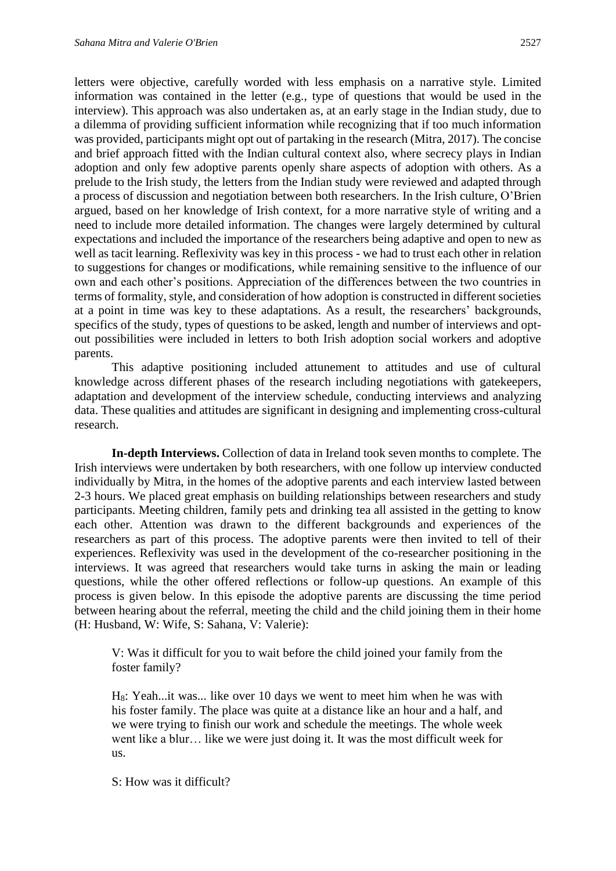letters were objective, carefully worded with less emphasis on a narrative style. Limited information was contained in the letter (e.g., type of questions that would be used in the interview). This approach was also undertaken as, at an early stage in the Indian study, due to a dilemma of providing sufficient information while recognizing that if too much information was provided, participants might opt out of partaking in the research (Mitra, 2017). The concise and brief approach fitted with the Indian cultural context also, where secrecy plays in Indian adoption and only few adoptive parents openly share aspects of adoption with others. As a prelude to the Irish study, the letters from the Indian study were reviewed and adapted through a process of discussion and negotiation between both researchers. In the Irish culture, O'Brien argued, based on her knowledge of Irish context, for a more narrative style of writing and a need to include more detailed information. The changes were largely determined by cultural expectations and included the importance of the researchers being adaptive and open to new as well as tacit learning. Reflexivity was key in this process - we had to trust each other in relation to suggestions for changes or modifications, while remaining sensitive to the influence of our own and each other's positions. Appreciation of the differences between the two countries in terms of formality, style, and consideration of how adoption is constructed in different societies at a point in time was key to these adaptations. As a result, the researchers' backgrounds, specifics of the study, types of questions to be asked, length and number of interviews and optout possibilities were included in letters to both Irish adoption social workers and adoptive parents.

This adaptive positioning included attunement to attitudes and use of cultural knowledge across different phases of the research including negotiations with gatekeepers, adaptation and development of the interview schedule, conducting interviews and analyzing data. These qualities and attitudes are significant in designing and implementing cross-cultural research.

**In-depth Interviews.** Collection of data in Ireland took seven months to complete. The Irish interviews were undertaken by both researchers, with one follow up interview conducted individually by Mitra, in the homes of the adoptive parents and each interview lasted between 2-3 hours. We placed great emphasis on building relationships between researchers and study participants. Meeting children, family pets and drinking tea all assisted in the getting to know each other. Attention was drawn to the different backgrounds and experiences of the researchers as part of this process. The adoptive parents were then invited to tell of their experiences. Reflexivity was used in the development of the co-researcher positioning in the interviews. It was agreed that researchers would take turns in asking the main or leading questions, while the other offered reflections or follow-up questions. An example of this process is given below. In this episode the adoptive parents are discussing the time period between hearing about the referral, meeting the child and the child joining them in their home (H: Husband, W: Wife, S: Sahana, V: Valerie):

V: Was it difficult for you to wait before the child joined your family from the foster family?

H8: Yeah...it was... like over 10 days we went to meet him when he was with his foster family. The place was quite at a distance like an hour and a half, and we were trying to finish our work and schedule the meetings. The whole week went like a blur… like we were just doing it. It was the most difficult week for us.

S: How was it difficult?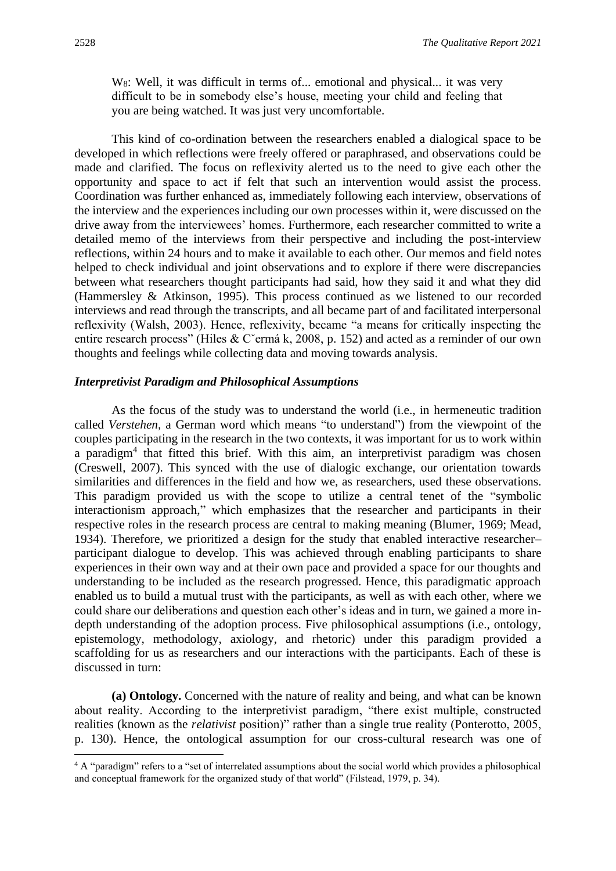W<sub>8</sub>: Well, it was difficult in terms of... emotional and physical... it was very difficult to be in somebody else's house, meeting your child and feeling that you are being watched. It was just very uncomfortable.

This kind of co-ordination between the researchers enabled a dialogical space to be developed in which reflections were freely offered or paraphrased, and observations could be made and clarified. The focus on reflexivity alerted us to the need to give each other the opportunity and space to act if felt that such an intervention would assist the process. Coordination was further enhanced as, immediately following each interview, observations of the interview and the experiences including our own processes within it, were discussed on the drive away from the interviewees' homes. Furthermore, each researcher committed to write a detailed memo of the interviews from their perspective and including the post-interview reflections, within 24 hours and to make it available to each other. Our memos and field notes helped to check individual and joint observations and to explore if there were discrepancies between what researchers thought participants had said, how they said it and what they did (Hammersley & Atkinson, 1995). This process continued as we listened to our recorded interviews and read through the transcripts, and all became part of and facilitated interpersonal reflexivity (Walsh, 2003). Hence, reflexivity, became "a means for critically inspecting the entire research process" (Hiles & Cˇermá k, 2008, p. 152) and acted as a reminder of our own thoughts and feelings while collecting data and moving towards analysis.

# *Interpretivist Paradigm and Philosophical Assumptions*

As the focus of the study was to understand the world (i.e., in hermeneutic tradition called *Verstehen,* a German word which means "to understand") from the viewpoint of the couples participating in the research in the two contexts, it was important for us to work within a paradigm<sup>4</sup> that fitted this brief. With this aim, an interpretivist paradigm was chosen (Creswell, 2007). This synced with the use of dialogic exchange, our orientation towards similarities and differences in the field and how we, as researchers, used these observations. This paradigm provided us with the scope to utilize a central tenet of the "symbolic interactionism approach," which emphasizes that the researcher and participants in their respective roles in the research process are central to making meaning (Blumer, 1969; Mead, 1934). Therefore, we prioritized a design for the study that enabled interactive researcher– participant dialogue to develop. This was achieved through enabling participants to share experiences in their own way and at their own pace and provided a space for our thoughts and understanding to be included as the research progressed. Hence, this paradigmatic approach enabled us to build a mutual trust with the participants, as well as with each other, where we could share our deliberations and question each other's ideas and in turn, we gained a more indepth understanding of the adoption process. Five philosophical assumptions (i.e., ontology, epistemology, methodology, axiology, and rhetoric) under this paradigm provided a scaffolding for us as researchers and our interactions with the participants. Each of these is discussed in turn:

**(a) Ontology.** Concerned with the nature of reality and being, and what can be known about reality. According to the interpretivist paradigm, "there exist multiple, constructed realities (known as the *relativist* position)" rather than a single true reality (Ponterotto, 2005, p. 130). Hence, the ontological assumption for our cross-cultural research was one of

<sup>&</sup>lt;sup>4</sup> A "paradigm" refers to a "set of interrelated assumptions about the social world which provides a philosophical and conceptual framework for the organized study of that world" (Filstead, 1979, p. 34).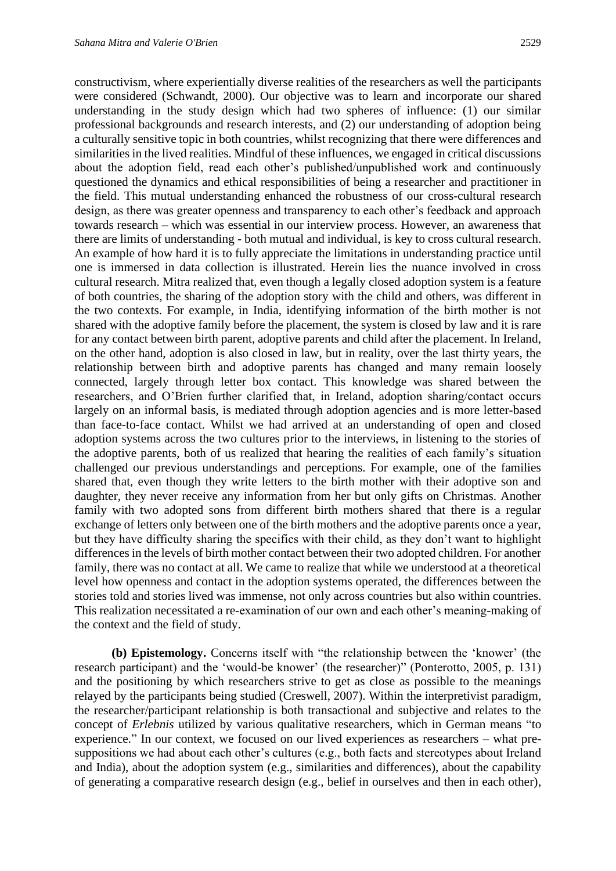constructivism, where experientially diverse realities of the researchers as well the participants were considered (Schwandt, 2000). Our objective was to learn and incorporate our shared understanding in the study design which had two spheres of influence: (1) our similar professional backgrounds and research interests, and (2) our understanding of adoption being a culturally sensitive topic in both countries, whilst recognizing that there were differences and similarities in the lived realities. Mindful of these influences, we engaged in critical discussions about the adoption field, read each other's published/unpublished work and continuously questioned the dynamics and ethical responsibilities of being a researcher and practitioner in the field. This mutual understanding enhanced the robustness of our cross-cultural research design, as there was greater openness and transparency to each other's feedback and approach towards research – which was essential in our interview process. However, an awareness that there are limits of understanding - both mutual and individual, is key to cross cultural research. An example of how hard it is to fully appreciate the limitations in understanding practice until one is immersed in data collection is illustrated. Herein lies the nuance involved in cross cultural research. Mitra realized that, even though a legally closed adoption system is a feature of both countries, the sharing of the adoption story with the child and others, was different in the two contexts. For example, in India, identifying information of the birth mother is not shared with the adoptive family before the placement, the system is closed by law and it is rare for any contact between birth parent, adoptive parents and child after the placement. In Ireland, on the other hand, adoption is also closed in law, but in reality, over the last thirty years, the relationship between birth and adoptive parents has changed and many remain loosely connected, largely through letter box contact. This knowledge was shared between the researchers, and O'Brien further clarified that, in Ireland, adoption sharing/contact occurs largely on an informal basis, is mediated through adoption agencies and is more letter-based than face-to-face contact. Whilst we had arrived at an understanding of open and closed adoption systems across the two cultures prior to the interviews, in listening to the stories of the adoptive parents, both of us realized that hearing the realities of each family's situation challenged our previous understandings and perceptions. For example, one of the families shared that, even though they write letters to the birth mother with their adoptive son and daughter, they never receive any information from her but only gifts on Christmas. Another family with two adopted sons from different birth mothers shared that there is a regular exchange of letters only between one of the birth mothers and the adoptive parents once a year, but they have difficulty sharing the specifics with their child, as they don't want to highlight differences in the levels of birth mother contact between their two adopted children. For another family, there was no contact at all. We came to realize that while we understood at a theoretical level how openness and contact in the adoption systems operated, the differences between the stories told and stories lived was immense, not only across countries but also within countries. This realization necessitated a re-examination of our own and each other's meaning-making of the context and the field of study.

**(b) Epistemology.** Concerns itself with "the relationship between the 'knower' (the research participant) and the 'would-be knower' (the researcher)" (Ponterotto, 2005, p. 131) and the positioning by which researchers strive to get as close as possible to the meanings relayed by the participants being studied (Creswell, 2007). Within the interpretivist paradigm, the researcher/participant relationship is both transactional and subjective and relates to the concept of *Erlebnis* utilized by various qualitative researchers, which in German means "to experience." In our context, we focused on our lived experiences as researchers – what presuppositions we had about each other's cultures (e.g., both facts and stereotypes about Ireland and India), about the adoption system (e.g., similarities and differences), about the capability of generating a comparative research design (e.g., belief in ourselves and then in each other),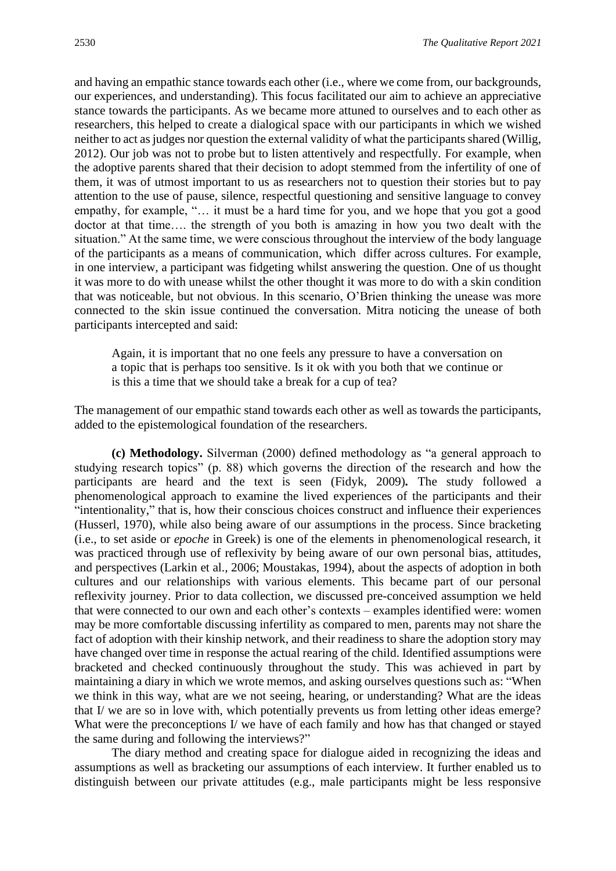and having an empathic stance towards each other (i.e., where we come from, our backgrounds, our experiences, and understanding). This focus facilitated our aim to achieve an appreciative stance towards the participants. As we became more attuned to ourselves and to each other as researchers, this helped to create a dialogical space with our participants in which we wished neither to act as judges nor question the external validity of what the participants shared (Willig, 2012). Our job was not to probe but to listen attentively and respectfully. For example, when the adoptive parents shared that their decision to adopt stemmed from the infertility of one of them, it was of utmost important to us as researchers not to question their stories but to pay attention to the use of pause, silence, respectful questioning and sensitive language to convey empathy, for example, "… it must be a hard time for you, and we hope that you got a good doctor at that time…. the strength of you both is amazing in how you two dealt with the situation." At the same time, we were conscious throughout the interview of the body language of the participants as a means of communication, which differ across cultures. For example, in one interview, a participant was fidgeting whilst answering the question. One of us thought it was more to do with unease whilst the other thought it was more to do with a skin condition that was noticeable, but not obvious. In this scenario, O'Brien thinking the unease was more connected to the skin issue continued the conversation. Mitra noticing the unease of both participants intercepted and said:

Again, it is important that no one feels any pressure to have a conversation on a topic that is perhaps too sensitive. Is it ok with you both that we continue or is this a time that we should take a break for a cup of tea?

The management of our empathic stand towards each other as well as towards the participants, added to the epistemological foundation of the researchers.

**(c) Methodology.** Silverman (2000) defined methodology as "a general approach to studying research topics" (p. 88) which governs the direction of the research and how the participants are heard and the text is seen (Fidyk, 2009)*.* The study followed a phenomenological approach to examine the lived experiences of the participants and their "intentionality," that is, how their conscious choices construct and influence their experiences (Husserl, 1970), while also being aware of our assumptions in the process. Since bracketing (i.e., to set aside or *epoche* in Greek) is one of the elements in phenomenological research, it was practiced through use of reflexivity by being aware of our own personal bias, attitudes, and perspectives (Larkin et al., 2006; Moustakas, 1994), about the aspects of adoption in both cultures and our relationships with various elements. This became part of our personal reflexivity journey. Prior to data collection, we discussed pre-conceived assumption we held that were connected to our own and each other's contexts – examples identified were: women may be more comfortable discussing infertility as compared to men, parents may not share the fact of adoption with their kinship network, and their readiness to share the adoption story may have changed over time in response the actual rearing of the child. Identified assumptions were bracketed and checked continuously throughout the study. This was achieved in part by maintaining a diary in which we wrote memos, and asking ourselves questions such as: "When we think in this way, what are we not seeing, hearing, or understanding? What are the ideas that I/ we are so in love with, which potentially prevents us from letting other ideas emerge? What were the preconceptions I/ we have of each family and how has that changed or stayed the same during and following the interviews?"

The diary method and creating space for dialogue aided in recognizing the ideas and assumptions as well as bracketing our assumptions of each interview. It further enabled us to distinguish between our private attitudes (e.g., male participants might be less responsive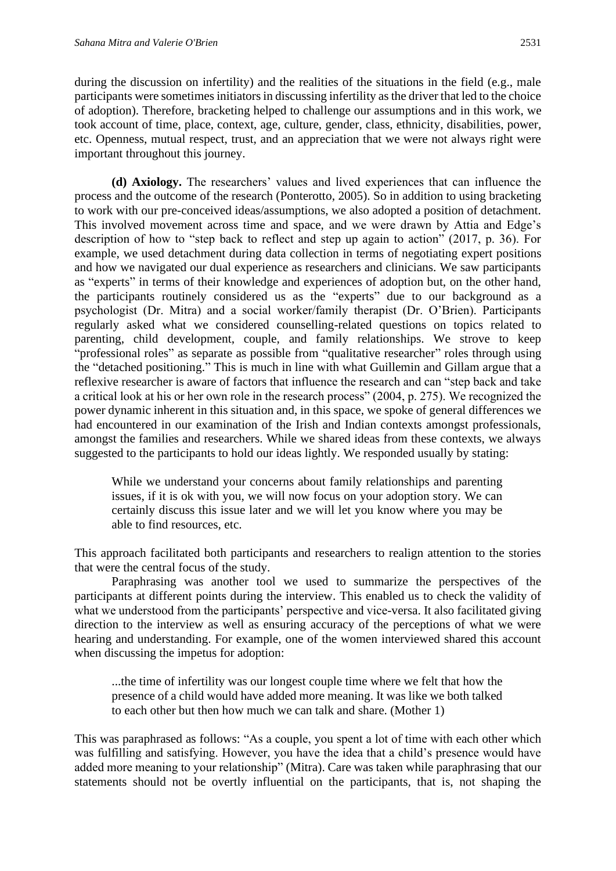during the discussion on infertility) and the realities of the situations in the field (e.g., male participants were sometimes initiators in discussing infertility as the driver that led to the choice of adoption). Therefore, bracketing helped to challenge our assumptions and in this work, we took account of time, place, context, age, culture, gender, class, ethnicity, disabilities, power, etc. Openness, mutual respect, trust, and an appreciation that we were not always right were important throughout this journey.

**(d) Axiology.** The researchers' values and lived experiences that can influence the process and the outcome of the research (Ponterotto, 2005). So in addition to using bracketing to work with our pre-conceived ideas/assumptions, we also adopted a position of detachment. This involved movement across time and space, and we were drawn by Attia and Edge's description of how to "step back to reflect and step up again to action" (2017, p. 36). For example, we used detachment during data collection in terms of negotiating expert positions and how we navigated our dual experience as researchers and clinicians. We saw participants as "experts" in terms of their knowledge and experiences of adoption but, on the other hand, the participants routinely considered us as the "experts" due to our background as a psychologist (Dr. Mitra) and a social worker/family therapist (Dr. O'Brien). Participants regularly asked what we considered counselling-related questions on topics related to parenting, child development, couple, and family relationships. We strove to keep "professional roles" as separate as possible from "qualitative researcher" roles through using the "detached positioning." This is much in line with what Guillemin and Gillam argue that a reflexive researcher is aware of factors that influence the research and can "step back and take a critical look at his or her own role in the research process" (2004, p. 275). We recognized the power dynamic inherent in this situation and, in this space, we spoke of general differences we had encountered in our examination of the Irish and Indian contexts amongst professionals, amongst the families and researchers. While we shared ideas from these contexts, we always suggested to the participants to hold our ideas lightly. We responded usually by stating:

While we understand your concerns about family relationships and parenting issues, if it is ok with you, we will now focus on your adoption story. We can certainly discuss this issue later and we will let you know where you may be able to find resources, etc.

This approach facilitated both participants and researchers to realign attention to the stories that were the central focus of the study.

Paraphrasing was another tool we used to summarize the perspectives of the participants at different points during the interview. This enabled us to check the validity of what we understood from the participants' perspective and vice-versa. It also facilitated giving direction to the interview as well as ensuring accuracy of the perceptions of what we were hearing and understanding. For example, one of the women interviewed shared this account when discussing the impetus for adoption:

...the time of infertility was our longest couple time where we felt that how the presence of a child would have added more meaning. It was like we both talked to each other but then how much we can talk and share. (Mother 1)

This was paraphrased as follows: "As a couple, you spent a lot of time with each other which was fulfilling and satisfying. However, you have the idea that a child's presence would have added more meaning to your relationship" (Mitra). Care was taken while paraphrasing that our statements should not be overtly influential on the participants, that is, not shaping the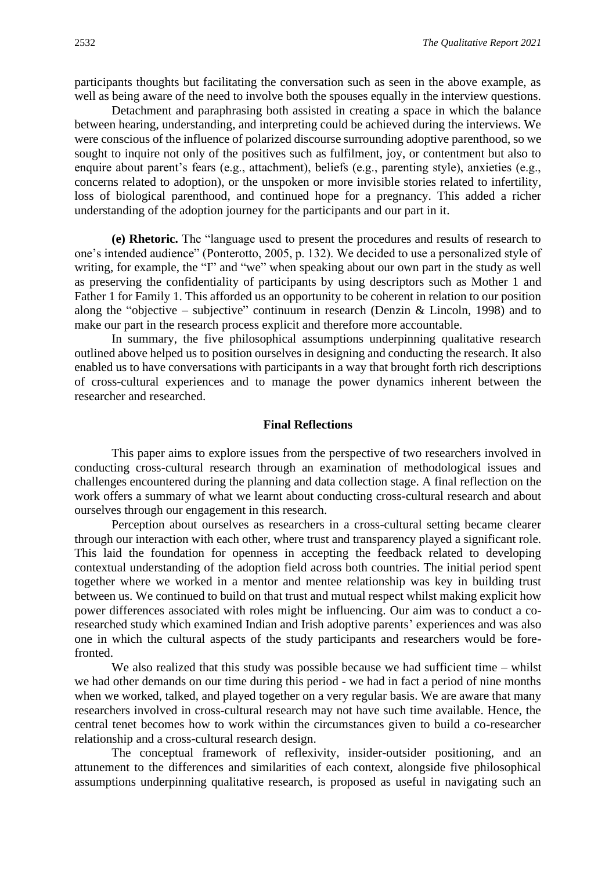participants thoughts but facilitating the conversation such as seen in the above example, as well as being aware of the need to involve both the spouses equally in the interview questions.

Detachment and paraphrasing both assisted in creating a space in which the balance between hearing, understanding, and interpreting could be achieved during the interviews. We were conscious of the influence of polarized discourse surrounding adoptive parenthood, so we sought to inquire not only of the positives such as fulfilment, joy, or contentment but also to enquire about parent's fears (e.g., attachment), beliefs (e.g., parenting style), anxieties (e.g., concerns related to adoption), or the unspoken or more invisible stories related to infertility, loss of biological parenthood, and continued hope for a pregnancy. This added a richer understanding of the adoption journey for the participants and our part in it.

**(e) Rhetoric.** The "language used to present the procedures and results of research to one's intended audience" (Ponterotto, 2005, p. 132). We decided to use a personalized style of writing, for example, the "I" and "we" when speaking about our own part in the study as well as preserving the confidentiality of participants by using descriptors such as Mother 1 and Father 1 for Family 1. This afforded us an opportunity to be coherent in relation to our position along the "objective – subjective" continuum in research (Denzin & Lincoln, 1998) and to make our part in the research process explicit and therefore more accountable.

In summary, the five philosophical assumptions underpinning qualitative research outlined above helped us to position ourselves in designing and conducting the research. It also enabled us to have conversations with participants in a way that brought forth rich descriptions of cross-cultural experiences and to manage the power dynamics inherent between the researcher and researched.

# **Final Reflections**

This paper aims to explore issues from the perspective of two researchers involved in conducting cross-cultural research through an examination of methodological issues and challenges encountered during the planning and data collection stage. A final reflection on the work offers a summary of what we learnt about conducting cross-cultural research and about ourselves through our engagement in this research.

Perception about ourselves as researchers in a cross-cultural setting became clearer through our interaction with each other, where trust and transparency played a significant role. This laid the foundation for openness in accepting the feedback related to developing contextual understanding of the adoption field across both countries. The initial period spent together where we worked in a mentor and mentee relationship was key in building trust between us. We continued to build on that trust and mutual respect whilst making explicit how power differences associated with roles might be influencing. Our aim was to conduct a coresearched study which examined Indian and Irish adoptive parents' experiences and was also one in which the cultural aspects of the study participants and researchers would be forefronted.

We also realized that this study was possible because we had sufficient time – whilst we had other demands on our time during this period - we had in fact a period of nine months when we worked, talked, and played together on a very regular basis. We are aware that many researchers involved in cross-cultural research may not have such time available. Hence, the central tenet becomes how to work within the circumstances given to build a co-researcher relationship and a cross-cultural research design.

The conceptual framework of reflexivity, insider-outsider positioning, and an attunement to the differences and similarities of each context, alongside five philosophical assumptions underpinning qualitative research, is proposed as useful in navigating such an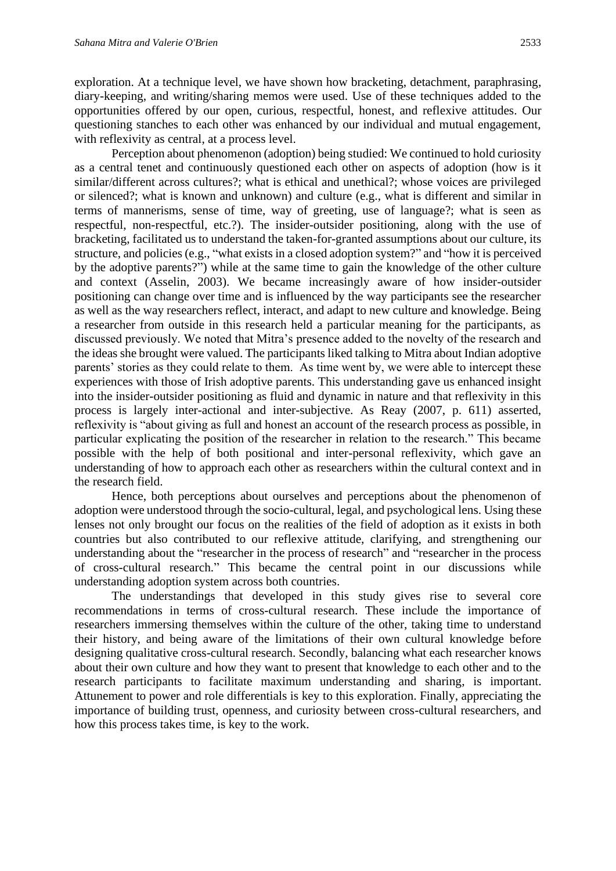exploration. At a technique level, we have shown how bracketing, detachment, paraphrasing, diary-keeping, and writing/sharing memos were used. Use of these techniques added to the opportunities offered by our open, curious, respectful, honest, and reflexive attitudes. Our questioning stanches to each other was enhanced by our individual and mutual engagement, with reflexivity as central, at a process level.

Perception about phenomenon (adoption) being studied: We continued to hold curiosity as a central tenet and continuously questioned each other on aspects of adoption (how is it similar/different across cultures?; what is ethical and unethical?; whose voices are privileged or silenced?; what is known and unknown) and culture (e.g., what is different and similar in terms of mannerisms, sense of time, way of greeting, use of language?; what is seen as respectful, non-respectful, etc.?). The insider-outsider positioning, along with the use of bracketing, facilitated us to understand the taken-for-granted assumptions about our culture, its structure, and policies (e.g., "what exists in a closed adoption system?" and "how it is perceived by the adoptive parents?") while at the same time to gain the knowledge of the other culture and context (Asselin, 2003). We became increasingly aware of how insider-outsider positioning can change over time and is influenced by the way participants see the researcher as well as the way researchers reflect, interact, and adapt to new culture and knowledge. Being a researcher from outside in this research held a particular meaning for the participants, as discussed previously. We noted that Mitra's presence added to the novelty of the research and the ideas she brought were valued. The participants liked talking to Mitra about Indian adoptive parents' stories as they could relate to them. As time went by, we were able to intercept these experiences with those of Irish adoptive parents. This understanding gave us enhanced insight into the insider-outsider positioning as fluid and dynamic in nature and that reflexivity in this process is largely inter-actional and inter-subjective. As Reay (2007, p. 611) asserted, reflexivity is "about giving as full and honest an account of the research process as possible, in particular explicating the position of the researcher in relation to the research." This became possible with the help of both positional and inter-personal reflexivity, which gave an understanding of how to approach each other as researchers within the cultural context and in the research field.

Hence, both perceptions about ourselves and perceptions about the phenomenon of adoption were understood through the socio-cultural, legal, and psychological lens. Using these lenses not only brought our focus on the realities of the field of adoption as it exists in both countries but also contributed to our reflexive attitude, clarifying, and strengthening our understanding about the "researcher in the process of research" and "researcher in the process of cross-cultural research." This became the central point in our discussions while understanding adoption system across both countries.

The understandings that developed in this study gives rise to several core recommendations in terms of cross-cultural research. These include the importance of researchers immersing themselves within the culture of the other, taking time to understand their history, and being aware of the limitations of their own cultural knowledge before designing qualitative cross-cultural research. Secondly, balancing what each researcher knows about their own culture and how they want to present that knowledge to each other and to the research participants to facilitate maximum understanding and sharing, is important. Attunement to power and role differentials is key to this exploration. Finally, appreciating the importance of building trust, openness, and curiosity between cross-cultural researchers, and how this process takes time, is key to the work.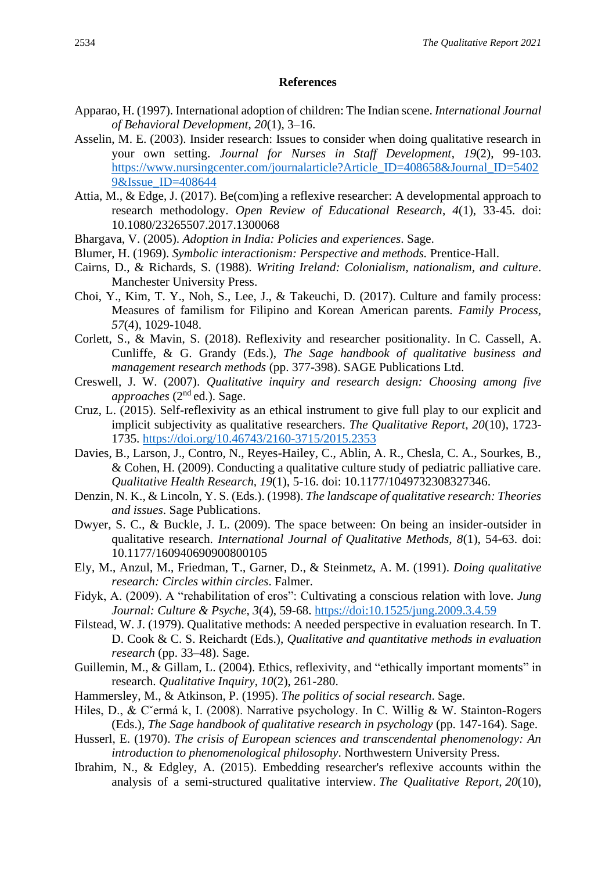#### **References**

- Apparao, H. (1997). International adoption of children: The Indian scene. *International Journal of Behavioral Development*, *20*(1), 3–16.
- Asselin, M. E. (2003). Insider research: Issues to consider when doing qualitative research in your own setting. *Journal for Nurses in Staff Development*, *19*(2), 99-103. [https://www.nursingcenter.com/journalarticle?Article\\_ID=408658&Journal\\_ID=5402](https://www.nursingcenter.com/journalarticle?Article_ID=408658&Journal_ID=54029&Issue_ID=408644) [9&Issue\\_ID=408644](https://www.nursingcenter.com/journalarticle?Article_ID=408658&Journal_ID=54029&Issue_ID=408644)
- Attia, M., & Edge, J. (2017). Be(com)ing a reflexive researcher: A developmental approach to research methodology. *Open Review of Educational Research*, *4*(1), 33-45. doi: 10.1080/23265507.2017.1300068
- Bhargava, V. (2005). *Adoption in India: Policies and experiences*. Sage.
- Blumer, H. (1969). *Symbolic interactionism: Perspective and methods.* Prentice-Hall.
- Cairns, D., & Richards, S. (1988). *Writing Ireland: Colonialism, nationalism, and culture*. Manchester University Press.
- Choi, Y., Kim, T. Y., Noh, S., Lee, J., & Takeuchi, D. (2017). Culture and family process: Measures of familism for Filipino and Korean American parents. *Family Process, 57*(4), 1029-1048.
- Corlett, S., & Mavin, S. (2018). Reflexivity and researcher positionality. In C. Cassell, A. Cunliffe, & G. Grandy (Eds.), *The Sage handbook of qualitative business and management research methods* (pp. 377-398). SAGE Publications Ltd.
- Creswell, J. W. (2007). *Qualitative inquiry and research design: Choosing among five approaches* (2nd ed.). Sage.
- Cruz, L. (2015). Self-reflexivity as an ethical instrument to give full play to our explicit and implicit subjectivity as qualitative researchers. *The Qualitative Report*, *20*(10), 1723- 1735.<https://doi.org/10.46743/2160-3715/2015.2353>
- Davies, B., Larson, J., Contro, N., Reyes-Hailey, C., Ablin, A. R., Chesla, C. A., Sourkes, B., & Cohen, H. (2009). Conducting a qualitative culture study of pediatric palliative care. *Qualitative Health Research, 19*(1), 5-16. doi: 10.1177/1049732308327346.
- Denzin, N. K., & Lincoln, Y. S. (Eds.). (1998). *The landscape of qualitative research: Theories and issues*. Sage Publications.
- Dwyer, S. C., & Buckle, J. L. (2009). The space between: On being an insider-outsider in qualitative research. *International Journal of Qualitative Methods, 8*(1), 54-63. doi: 10.1177/160940690900800105
- Ely, M., Anzul, M., Friedman, T., Garner, D., & Steinmetz, A. M. (1991). *Doing qualitative research: Circles within circles*. Falmer.
- Fidyk, A. (2009). A "rehabilitation of eros": Cultivating a conscious relation with love. *Jung Journal: Culture & Psyche, 3*(4), 59-68.<https://doi:10.1525/jung.2009.3.4.59>
- Filstead, W. J. (1979). Qualitative methods: A needed perspective in evaluation research. In T. D. Cook & C. S. Reichardt (Eds.), *Qualitative and quantitative methods in evaluation research* (pp. 33–48). Sage.
- Guillemin, M., & Gillam, L. (2004). Ethics, reflexivity, and "ethically important moments" in research. *Qualitative Inquiry*, *10*(2), 261-280.
- Hammersley, M., & Atkinson, P. (1995). *The politics of social research*. Sage.
- Hiles, D., & C<sup>or</sup>ermá k, I. (2008). Narrative psychology. In C. Willig & W. Stainton-Rogers (Eds.), *The Sage handbook of qualitative research in psychology* (pp. 147-164). Sage.
- Husserl, E. (1970). *The crisis of European sciences and transcendental phenomenology: An introduction to phenomenological philosophy*. Northwestern University Press.
- Ibrahim, N., & Edgley, A. (2015). Embedding researcher's reflexive accounts within the analysis of a semi-structured qualitative interview. *The Qualitative Report, 20*(10),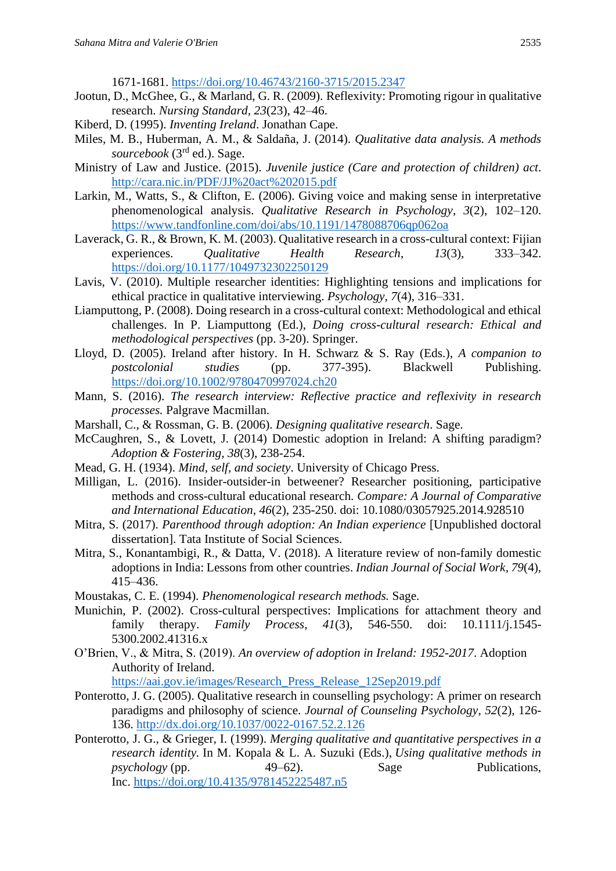1671-1681.<https://doi.org/10.46743/2160-3715/2015.2347>

- Jootun, D., McGhee, G., & Marland, G. R. (2009). Reflexivity: Promoting rigour in qualitative research. *Nursing Standard, 23*(23), 42–46.
- Kiberd, D. (1995). *Inventing Ireland*. Jonathan Cape.
- Miles, M. B., Huberman, A. M., & Saldaña, J. (2014). *Qualitative data analysis. A methods sourcebook* (3rd ed.). Sage.
- Ministry of Law and Justice. (2015). *Juvenile justice (Care and protection of children) act*. <http://cara.nic.in/PDF/JJ%20act%202015.pdf>
- Larkin, M., Watts, S., & Clifton, E. (2006). Giving voice and making sense in interpretative phenomenological analysis. *Qualitative Research in Psychology*, *3*(2), 102–120. <https://www.tandfonline.com/doi/abs/10.1191/1478088706qp062oa>
- Laverack, G. R., & Brown, K. M. (2003). Qualitative research in a cross-cultural context: Fijian experiences. *Qualitative Health Research*, *13*(3), 333–342. <https://doi.org/10.1177/1049732302250129>
- Lavis, V. (2010). Multiple researcher identities: Highlighting tensions and implications for ethical practice in qualitative interviewing. *Psychology, 7*(4), 316–331.
- Liamputtong, P. (2008). Doing research in a cross-cultural context: Methodological and ethical challenges. In P. Liamputtong (Ed.), *Doing cross-cultural research: Ethical and methodological perspectives* (pp. 3-20). Springer.
- Lloyd, D. (2005). Ireland after history. In H. Schwarz & S. Ray (Eds.), *A companion to postcolonial studies* (pp. 377-395). Blackwell Publishing. <https://doi.org/10.1002/9780470997024.ch20>
- Mann, S. (2016). *The research interview: Reflective practice and reflexivity in research processes.* Palgrave Macmillan.
- Marshall, C., & Rossman, G. B. (2006). *Designing qualitative research*. Sage.
- McCaughren, S., & Lovett, J. (2014) Domestic adoption in Ireland: A shifting paradigm? *Adoption & Fostering, 38*(3), 238-254.
- Mead, G. H. (1934). *Mind, self, and society*. University of Chicago Press.
- Milligan, L. (2016). Insider-outsider-in betweener? Researcher positioning, participative methods and cross-cultural educational research. *Compare: A Journal of Comparative and International Education, 46*(2), 235-250. doi: 10.1080/03057925.2014.928510
- Mitra, S. (2017). *Parenthood through adoption: An Indian experience* [Unpublished doctoral dissertation]. Tata Institute of Social Sciences.
- Mitra, S., Konantambigi, R., & Datta, V. (2018). A literature review of non-family domestic adoptions in India: Lessons from other countries. *Indian Journal of Social Work, 79*(4), 415–436.
- Moustakas, C. E. (1994). *Phenomenological research methods.* Sage.
- Munichin, P. (2002). Cross-cultural perspectives: Implications for attachment theory and family therapy. *Family Process*, *41*(3), 546-550. doi: 10.1111/j.1545- 5300.2002.41316.x
- O'Brien, V., & Mitra, S. (2019). *An overview of adoption in Ireland: 1952-2017*. Adoption Authority of Ireland.

[https://aai.gov.ie/images/Research\\_Press\\_Release\\_12Sep2019.pdf](https://aai.gov.ie/images/Research_Press_Release_12Sep2019.pdf)

- Ponterotto, J. G. (2005). Qualitative research in counselling psychology: A primer on research paradigms and philosophy of science. *Journal of Counseling Psychology*, *52*(2)*,* 126- 136. [http://dx.doi.org/10.1037/0022-0167.52.2.126](http://psycnet.apa.org/doi/10.1037/0022-0167.52.2.126)
- Ponterotto, J. G., & Grieger, I. (1999). *Merging qualitative and quantitative perspectives in a research identity.* In M. Kopala & L. A. Suzuki (Eds.), *Using qualitative methods in psychology* (pp. 49–62). Sage Publications, Inc. [https://doi.org/10.4135/9781452225487.n5](https://psycnet.apa.org/doi/10.4135/9781452225487.n5)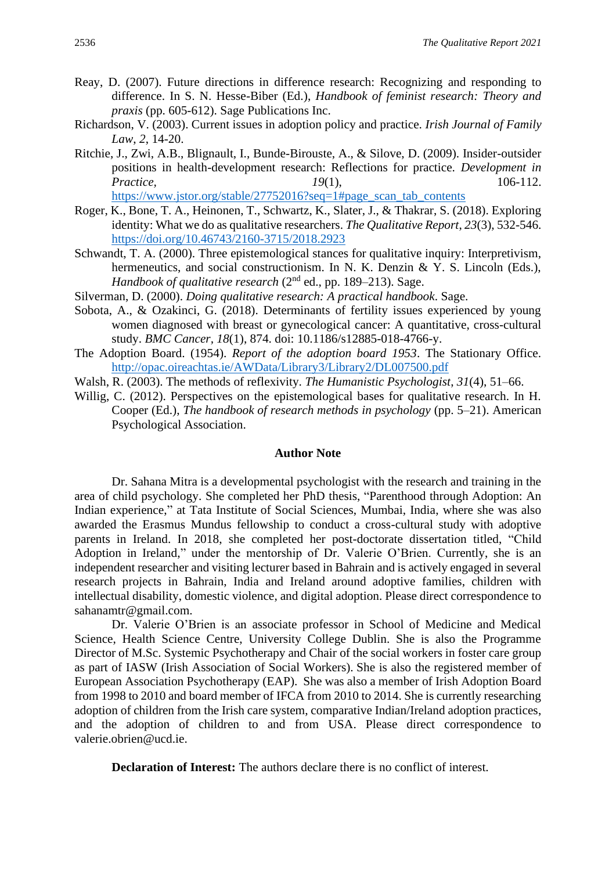- Reay, D. (2007). Future directions in difference research: Recognizing and responding to difference. In S. N. Hesse-Biber (Ed.), *Handbook of feminist research: Theory and praxis* (pp. 605-612). Sage Publications Inc.
- Richardson, V. (2003). Current issues in adoption policy and practice. *Irish Journal of Family Law*, *2*, 14-20.
- Ritchie, J., Zwi, A.B., Blignault, I., Bunde-Birouste, A., & Silove, D. (2009). Insider-outsider positions in health-development research: Reflections for practice. *Development in Practice, 19(1), 106-112.* [https://www.jstor.org/stable/27752016?seq=1#page\\_scan\\_tab\\_contents](https://www.jstor.org/stable/27752016?seq=1#page_scan_tab_contents)
- Roger, K., Bone, T. A., Heinonen, T., Schwartz, K., Slater, J., & Thakrar, S. (2018). Exploring identity: What we do as qualitative researchers. *The Qualitative Report*, *23*(3), 532-546. <https://doi.org/10.46743/2160-3715/2018.2923>
- Schwandt, T. A. (2000). Three epistemological stances for qualitative inquiry: Interpretivism, hermeneutics, and social constructionism. In N. K. Denzin & Y. S. Lincoln (Eds.), *Handbook of qualitative research* (2<sup>nd</sup> ed., pp. 189–213). Sage.
- Silverman, D. (2000). *Doing qualitative research: A practical handbook*. Sage.
- Sobota, A., & Ozakinci, G. (2018). Determinants of fertility issues experienced by young women diagnosed with breast or gynecological cancer: A quantitative, cross-cultural study. *BMC Cancer, 18*(1), 874. doi: 10.1186/s12885-018-4766-y.
- The Adoption Board. (1954). *Report of the adoption board 1953*. The Stationary Office. <http://opac.oireachtas.ie/AWData/Library3/Library2/DL007500.pdf>
- Walsh, R. (2003). The methods of reflexivity. *The Humanistic Psychologist*, *31*(4), 51–66.
- Willig, C. (2012). Perspectives on the epistemological bases for qualitative research. In H. Cooper (Ed.), *The handbook of research methods in psychology* (pp. 5–21). American Psychological Association.

#### **Author Note**

Dr. Sahana Mitra is a developmental psychologist with the research and training in the area of child psychology. She completed her PhD thesis, "Parenthood through Adoption: An Indian experience," at Tata Institute of Social Sciences, Mumbai, India, where she was also awarded the Erasmus Mundus fellowship to conduct a cross-cultural study with adoptive parents in Ireland. In 2018, she completed her post-doctorate dissertation titled, "Child Adoption in Ireland," under the mentorship of Dr. Valerie O'Brien. Currently, she is an independent researcher and visiting lecturer based in Bahrain and is actively engaged in several research projects in Bahrain, India and Ireland around adoptive families, children with intellectual disability, domestic violence, and digital adoption. Please direct correspondence to sahanamtr@gmail.com.

Dr. Valerie O'Brien is an associate professor in School of Medicine and Medical Science, Health Science Centre, University College Dublin. She is also the Programme Director of M.Sc. Systemic Psychotherapy and Chair of the social workers in foster care group as part of IASW (Irish Association of Social Workers). She is also the registered member of European Association Psychotherapy (EAP). She was also a member of Irish Adoption Board from 1998 to 2010 and board member of IFCA from 2010 to 2014. She is currently researching adoption of children from the Irish care system, comparative Indian/Ireland adoption practices, and the adoption of children to and from USA. Please direct correspondence to valerie.obrien@ucd.ie.

**Declaration of Interest:** The authors declare there is no conflict of interest.